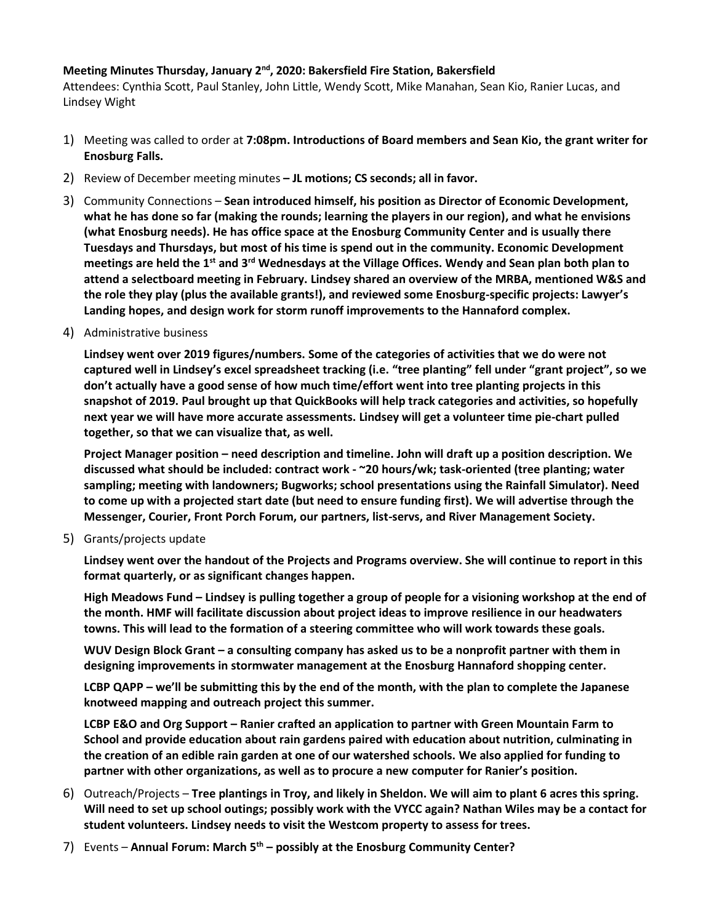## **Meeting Minutes Thursday, January 2 nd , 2020: Bakersfield Fire Station, Bakersfield**

Attendees: Cynthia Scott, Paul Stanley, John Little, Wendy Scott, Mike Manahan, Sean Kio, Ranier Lucas, and Lindsey Wight

- 1) Meeting was called to order at **7:08pm. Introductions of Board members and Sean Kio, the grant writer for Enosburg Falls.**
- 2) Review of December meeting minutes **– JL motions; CS seconds; all in favor.**
- 3) Community Connections **Sean introduced himself, his position as Director of Economic Development, what he has done so far (making the rounds; learning the players in our region), and what he envisions (what Enosburg needs). He has office space at the Enosburg Community Center and is usually there Tuesdays and Thursdays, but most of his time is spend out in the community. Economic Development meetings are held the 1st and 3rd Wednesdays at the Village Offices. Wendy and Sean plan both plan to attend a selectboard meeting in February. Lindsey shared an overview of the MRBA, mentioned W&S and the role they play (plus the available grants!), and reviewed some Enosburg-specific projects: Lawyer's Landing hopes, and design work for storm runoff improvements to the Hannaford complex.**
- 4) Administrative business

**Lindsey went over 2019 figures/numbers. Some of the categories of activities that we do were not captured well in Lindsey's excel spreadsheet tracking (i.e. "tree planting" fell under "grant project", so we don't actually have a good sense of how much time/effort went into tree planting projects in this snapshot of 2019. Paul brought up that QuickBooks will help track categories and activities, so hopefully next year we will have more accurate assessments. Lindsey will get a volunteer time pie-chart pulled together, so that we can visualize that, as well.** 

**Project Manager position – need description and timeline. John will draft up a position description. We discussed what should be included: contract work - ~20 hours/wk; task-oriented (tree planting; water sampling; meeting with landowners; Bugworks; school presentations using the Rainfall Simulator). Need to come up with a projected start date (but need to ensure funding first). We will advertise through the Messenger, Courier, Front Porch Forum, our partners, list-servs, and River Management Society.** 

5) Grants/projects update

**Lindsey went over the handout of the Projects and Programs overview. She will continue to report in this format quarterly, or as significant changes happen.**

**High Meadows Fund – Lindsey is pulling together a group of people for a visioning workshop at the end of the month. HMF will facilitate discussion about project ideas to improve resilience in our headwaters towns. This will lead to the formation of a steering committee who will work towards these goals.** 

**WUV Design Block Grant – a consulting company has asked us to be a nonprofit partner with them in designing improvements in stormwater management at the Enosburg Hannaford shopping center.**

**LCBP QAPP – we'll be submitting this by the end of the month, with the plan to complete the Japanese knotweed mapping and outreach project this summer.**

**LCBP E&O and Org Support – Ranier crafted an application to partner with Green Mountain Farm to School and provide education about rain gardens paired with education about nutrition, culminating in the creation of an edible rain garden at one of our watershed schools. We also applied for funding to partner with other organizations, as well as to procure a new computer for Ranier's position.** 

- 6) Outreach/Projects **Tree plantings in Troy, and likely in Sheldon. We will aim to plant 6 acres this spring. Will need to set up school outings; possibly work with the VYCC again? Nathan Wiles may be a contact for student volunteers. Lindsey needs to visit the Westcom property to assess for trees.**
- 7) Events **Annual Forum: March 5th – possibly at the Enosburg Community Center?**